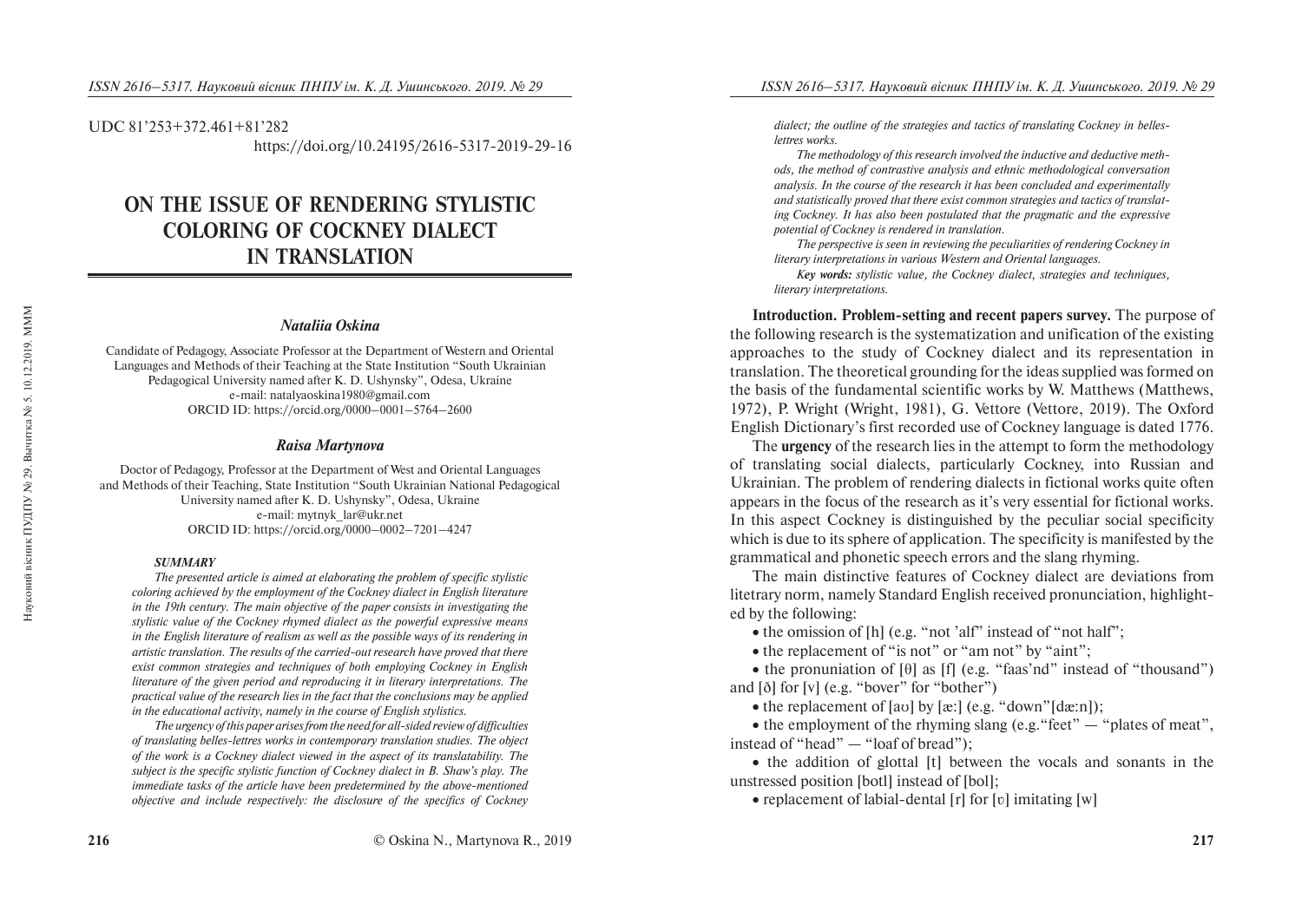#### UDC 81'253+372.461+81'282

https://doi.org/10.24195/2616-5317-2019-29-16

# **ON THE ISSUE OF RENDERING STYLISTIC COLORING OF COCKNEY DIALECT IN TRANSLATION**

#### *Nataliia Oskina*

Candidate of Pedagogy, Associate Professor at the Department of Western and Oriental Languages and Methods of their Teaching at the State Institution "South Ukrainian Pedagogical University named after K. D. Ushynsky", Odesa, Ukraine e-mail: natalyaoskina1980@gmail.com ORCID ID: https://orcid.org/0000–0001–5764–2600

#### *Raisa Martynova*

Doctor of Pedagogy, Professor at the Department of West and Oriental Languages and Methods of their Teaching, State Institution "South Ukrainian National Pedagogical University named after K. D. Ushynsky", Odesa, Ukraine e-mail: mytnyk\_lar@ukr.net ORCID ID: https://orcid.org/0000–0002–7201–4247

#### *SUMMARY*

*The presented article is aimed at elaborating the problem of specific stylistic coloring achieved by the employment of the Cockney dialect in English literature in the 19th century. The main objective of the paper consists in investigating the stylistic value of the Cockney rhymed dialect as the powerful expressive means in the English literature of realism as well as the possible ways of its rendering in artistic translation. The results of the carried-out research have proved that there exist common strategies and techniques of both employing Cockney in English literature of the given period and reproducing it in literary interpretations. The practical value of the research lies in the fact that the conclusions may be applied in the educational activity, namely in the course of English stylistics.* 

*The urgency of this paper arises from the need for all-sided review of difficulties of translating belles-lettres works in contemporary translation studies. The object of the work is a Cockney dialect viewed in the aspect of its translatability. The subject is the specific stylistic function of Cockney dialect in B. Shaw's play. The immediate tasks of the article have been predetermined by the above-mentioned objective and include respectively: the disclosure of the specifics of Cockney*  *dialect; the outline of the strategies and tactics of translating Cockney in belleslettres works.* 

*The methodology of this research involved the inductive and deductive methods, the method of contrastive analysis and ethnic methodological conversation analysis. In the course of the research it has been concluded and experimentally and statistically proved that there exist common strategies and tactics of translating Cockney. It has also been postulated that the pragmatic and the expressive potential of Cockney is rendered in translation.* 

*The perspective is seen in reviewing the peculiarities of rendering Cockney in literary interpretations in various Western and Oriental languages.* 

*Key words: stylistic value, the Cockney dialect, strategies and techniques, literary interpretations.* 

**Introduction. Problem-setting and recent papers survey.** The purpose of the following research is the systematization and unification of the existing approaches to the study of Cockney dialect and its representation in translation. The theoretical grounding for the ideas supplied was formed on the basis of the fundamental scientific works by W. Matthews (Matthews, 1972), P. Wright (Wright, 1981), G. Vettore (Vettore, 2019). The Oxford English Dictionary's first recorded use of Cockney language is dated 1776.

The **urgency** of the research lies in the attempt to form the methodology of translating social dialects, particularly Cockney, into Russian and Ukrainian. The problem of rendering dialects in fictional works quite often appears in the focus of the research as it's very essential for fictional works. In this aspect Cockney is distinguished by the peculiar social specificity which is due to its sphere of application. The specificity is manifested by the grammatical and phonetic speech errors and the slang rhyming.

The main distinctive features of Cockney dialect are deviations from litetrary norm, namely Standard English received pronunciation, highlighted by the following:

• the omission of [h] (e.g. "not 'alf" instead of "not half";

• the replacement of "is not" or "am not" by "aint";

• the pronuniation of  $[\theta]$  as  $[f]$  (e.g. "faas'nd" instead of "thousand") and [ð] for [v] (e.g. "bover" for "bother")

• the replacement of  $[av]$  by  $[ax]$  (e.g. "down" $[da:n]$ );

• the employment of the rhyming slang (e.g. "feet"  $-$  "plates of meat", instead of "head" — "loaf of bread");

• the addition of glottal [t] between the vocals and sonants in the unstressed position [botl] instead of [bol];

• replacement of labial-dental [r] for [v] imitating [w]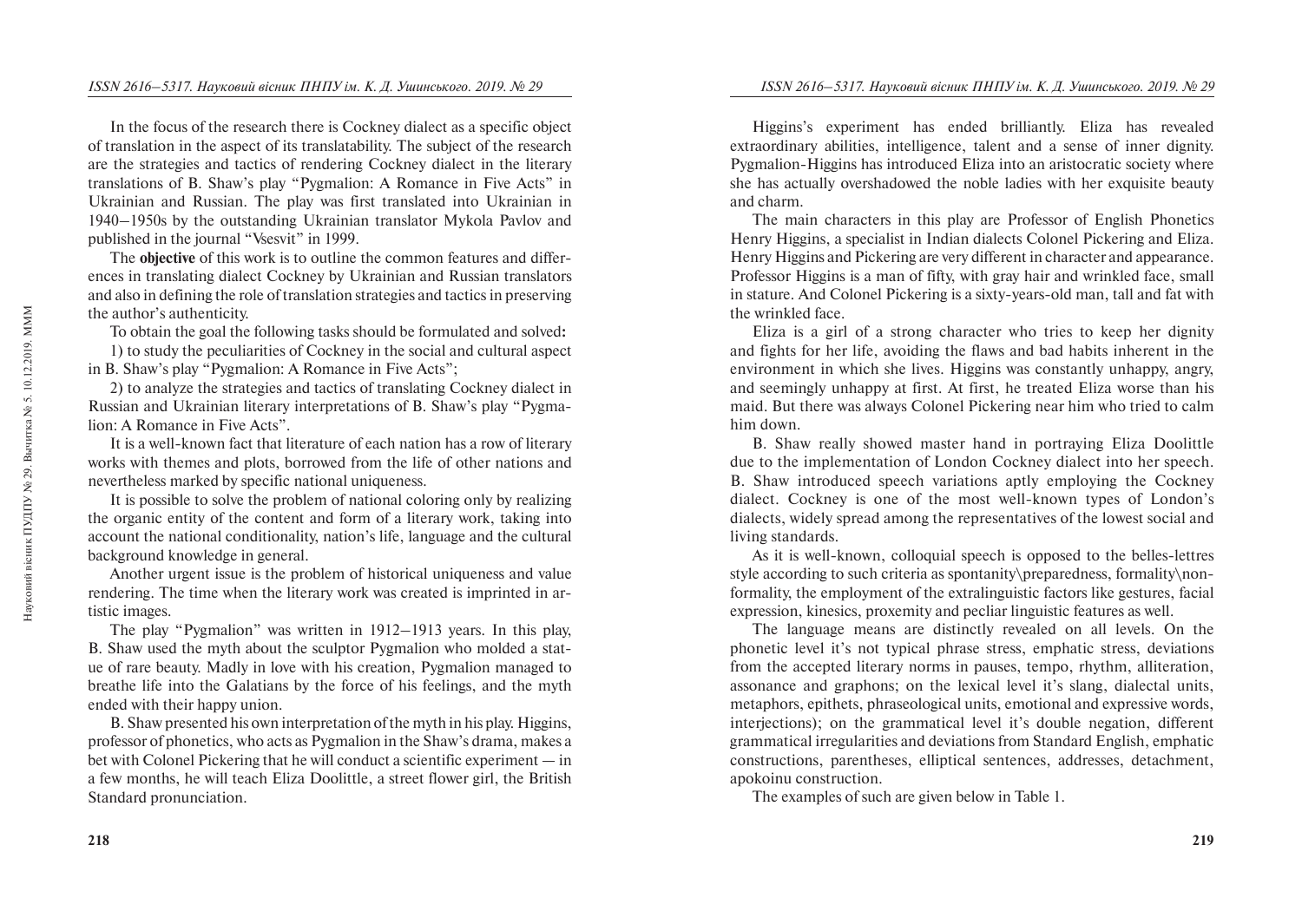In the focus of the research there is Cockney dialect as a specific object of translation in the aspect of its translatability. The subject of the research are the strategies and tactics of rendering Cockney dialect in the literary translations of B. Shaw's play "Pygmalion: A Romance in Five Acts" in Ukrainian and Russian. The play was first translated into Ukrainian in 1940–1950s by the outstanding Ukrainian translator Mykola Pavlov and published in the journal "Vsesvit" in 1999.

The **objective** of this work is to outline the common features and differences in translating dialect Cockney by Ukrainian and Russian translators and also in defining the role of translation strategies and tactics in preserving the author's authenticity.

To obtain the goal the following tasks should be formulated and solved**:**

1) to study the peculiarities of Cockney in the social and cultural aspect in B. Shaw's play "Pygmalion: A Romance in Five Acts";

2) to analyze the strategies and tactics of translating Cockney dialect in Russian and Ukrainian literary interpretations of B. Shaw's play "Pygmalion: A Romance in Five Acts".

It is a well-known fact that literature of each nation has a row of literary works with themes and plots, borrowed from the life of other nations and nevertheless marked by specific national uniqueness.

It is possible to solve the problem of national coloring only by realizing the organic entity of the content and form of a literary work, taking into account the national conditionality, nation's life, language and the cultural background knowledge in general.

Another urgent issue is the problem of historical uniqueness and value rendering. The time when the literary work was created is imprinted in artistic images.

The play "Pygmalion" was written in 1912–1913 years. In this play, B. Shaw used the myth about the sculptor Pygmalion who molded a statue of rare beauty. Madly in love with his creation, Pygmalion managed to breathe life into the Galatians by the force of his feelings, and the myth ended with their happy union.

B. Shaw presented his own interpretation of the myth in his play. Higgins, professor of phonetics, who acts as Pygmalion in the Shaw's drama, makes a bet with Colonel Pickering that he will conduct a scientific experiment — in a few months, he will teach Eliza Doolittle, a street flower girl, the British Standard pronunciation.

Higgins's experiment has ended brilliantly. Eliza has revealed extraordinary abilities, intelligence, talent and a sense of inner dignity. Pygmalion-Higgins has introduced Eliza into an aristocratic society where she has actually overshadowed the noble ladies with her exquisite beauty and charm.

The main characters in this play are Professor of English Phonetics Henry Higgins, a specialist in Indian dialects Colonel Pickering and Eliza. Henry Higgins and Pickering are very different in character and appearance. Professor Higgins is a man of fifty, with gray hair and wrinkled face, small in stature. And Colonel Pickering is a sixty-years-old man, tall and fat with the wrinkled face.

Eliza is a girl of a strong character who tries to keep her dignity and fights for her life, avoiding the flaws and bad habits inherent in the environment in which she lives. Higgins was constantly unhappy, angry, and seemingly unhappy at first. At first, he treated Eliza worse than his maid. But there was always Colonel Pickering near him who tried to calm him down.

B. Shaw really showed master hand in portraying Eliza Doolittle due to the implementation of London Cockney dialect into her speech. B. Shaw introduced speech variations aptly employing the Cockney dialect. Cockney is one of the most well-known types of London's dialects, widely spread among the representatives of the lowest social and living standards.

As it is well-known, colloquial speech is opposed to the belles-lettres style according to such criteria as spontanity\preparedness, formality\nonformality, the employment of the extralinguistic factors like gestures, facial expression, kinesics, proxemity and pecliar linguistic features as well.

The language means are distinctly revealed on all levels. On the phonetic level it's not typical phrase stress, emphatic stress, deviations from the accepted literary norms in pauses, tempo, rhythm, alliteration, assonance and graphons; on the lexical level it's slang, dialectal units, metaphors, epithets, phraseological units, emotional and expressive words, interjections); on the grammatical level it's double negation, different grammatical irregularities and deviations from Standard English, emphatic constructions, parentheses, elliptical sentences, addresses, detachment, apokoinu construction.

The examples of such are given below in Table 1.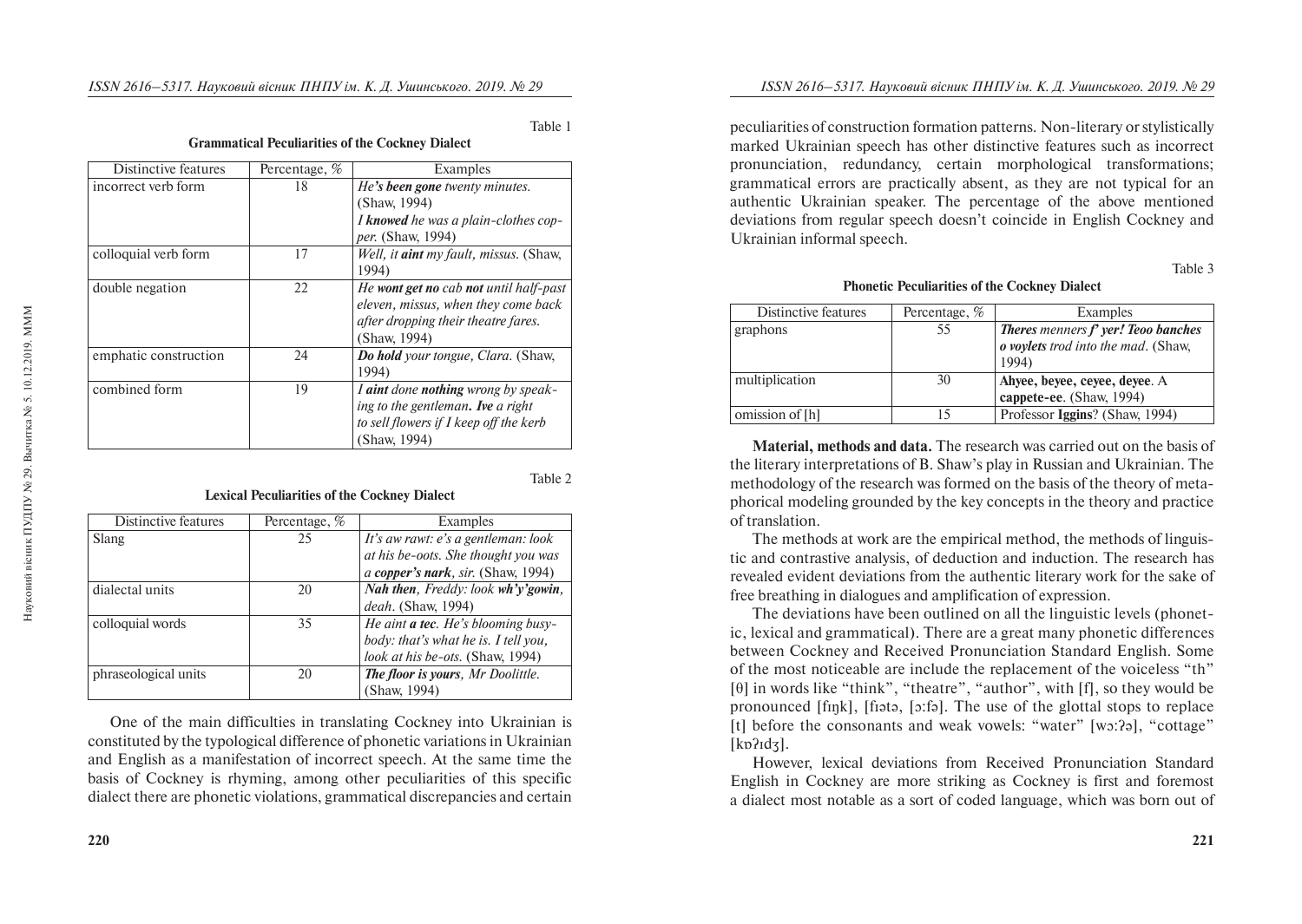# **Grammatical Peculiarities of the Cockney Dialect**

| Distinctive features  | Percentage, % | Examples                                      |
|-----------------------|---------------|-----------------------------------------------|
| incorrect verb form   | 18            | He's been gone twenty minutes.                |
|                       |               | (Shaw, 1994)                                  |
|                       |               | I knowed he was a plain-clothes cop-          |
|                       |               | <i>per.</i> (Shaw, 1994)                      |
| colloquial verb form  | 17            | Well, it <i>aint</i> my fault, missus. (Shaw, |
|                       |               | 1994)                                         |
| double negation       | 22            | He wont get no cab not until half-past        |
|                       |               | eleven, missus, when they come back           |
|                       |               | after dropping their theatre fares.           |
|                       |               | (Shaw, 1994)                                  |
| emphatic construction | 24            | Do hold your tongue, Clara. (Shaw,            |
|                       |               | 1994)                                         |
| combined form         | 19            | I aint done nothing wrong by speak-           |
|                       |               | ing to the gentleman. Ive a right             |
|                       |               | to sell flowers if I keep off the kerb        |
|                       |               | (Shaw, 1994)                                  |
|                       |               |                                               |

## Table 2

Table 1

| Distinctive features | Percentage, % | Examples                             |
|----------------------|---------------|--------------------------------------|
| Slang                | 25            | It's aw rawt: e's a gentleman: look  |
|                      |               | at his be-oots. She thought you was  |
|                      |               | a copper's nark, sir. (Shaw, 1994)   |
| dialectal units      | 20            | Nah then, Freddy: look wh'y'gowin,   |
|                      |               | <i>deah.</i> (Shaw, 1994)            |
| colloquial words     | 35            | He aint a tec. He's blooming busy-   |
|                      |               | body: that's what he is. I tell you, |
|                      |               | look at his be-ots. (Shaw, 1994)     |
| phraseological units | 20            | The floor is yours, Mr Doolittle.    |
|                      |               | (Shaw, 1994)                         |

**Lexical Peculiarities of the Cockney Dialect**

One of the main difficulties in translating Cockney into Ukrainian is constituted by the typological difference of phonetic variations in Ukrainian and English as a manifestation of incorrect speech. At the same time the basis of Cockney is rhyming, among other peculiarities of this specific dialect there are phonetic violations, grammatical discrepancies and certain peculiarities of construction formation patterns. Non-literary or stylistically marked Ukrainian speech has other distinctive features such as incorrect pronunciation, redundancy, certain morphological transformations; grammatical errors are practically absent, as they are not typical for an authentic Ukrainian speaker. The percentage of the above mentioned deviations from regular speech doesn't coincide in English Cockney and Ukrainian informal speech.

Table 3

## **Phonetic Peculiarities of the Cockney Dialect**

| Distinctive features | Percentage, % | Examples                                    |
|----------------------|---------------|---------------------------------------------|
| graphons             | 55            | <b>Theres</b> menners $f$ yer! Teoo banches |
|                      |               | o voylets trod into the mad. (Shaw,         |
|                      |               | 1994)                                       |
| multiplication       | 30            | Ahyee, beyee, ceyee, deyee. A               |
|                      |               | cappete-ee. (Shaw, 1994)                    |
| omission of [h]      |               | Professor Iggins? (Shaw, 1994)              |

**Material, methods and data.** The research was carried out on the basis of the literary interpretations of B. Shaw's play in Russian and Ukrainian. The methodology of the research was formed on the basis of the theory of metaphorical modeling grounded by the key concepts in the theory and practice of translation.

The methods at work are the empirical method, the methods of linguistic and contrastive analysis, of deduction and induction. The research has revealed evident deviations from the authentic literary work for the sake of free breathing in dialogues and amplification of expression.

The deviations have been outlined on all the linguistic levels (phonetic, lexical and grammatical). There are a great many phonetic differences between Cockney and Received Pronunciation Standard English. Some of the most noticeable are include the replacement of the voiceless "th" [θ] in words like "think", "theatre", "author", with [f], so they would be pronounced [fɪŋk], [fɪətə, [ɔ:fə]. The use of the glottal stops to replace [t] before the consonants and weak vowels: "water" [wɔ:ʔə], "cottage" [kɒʔɪdʒ].

However, lexical deviations from Received Pronunciation Standard English in Cockney are more striking as Cockney is first and foremost a dialect most notable as a sort of coded language, which was born out of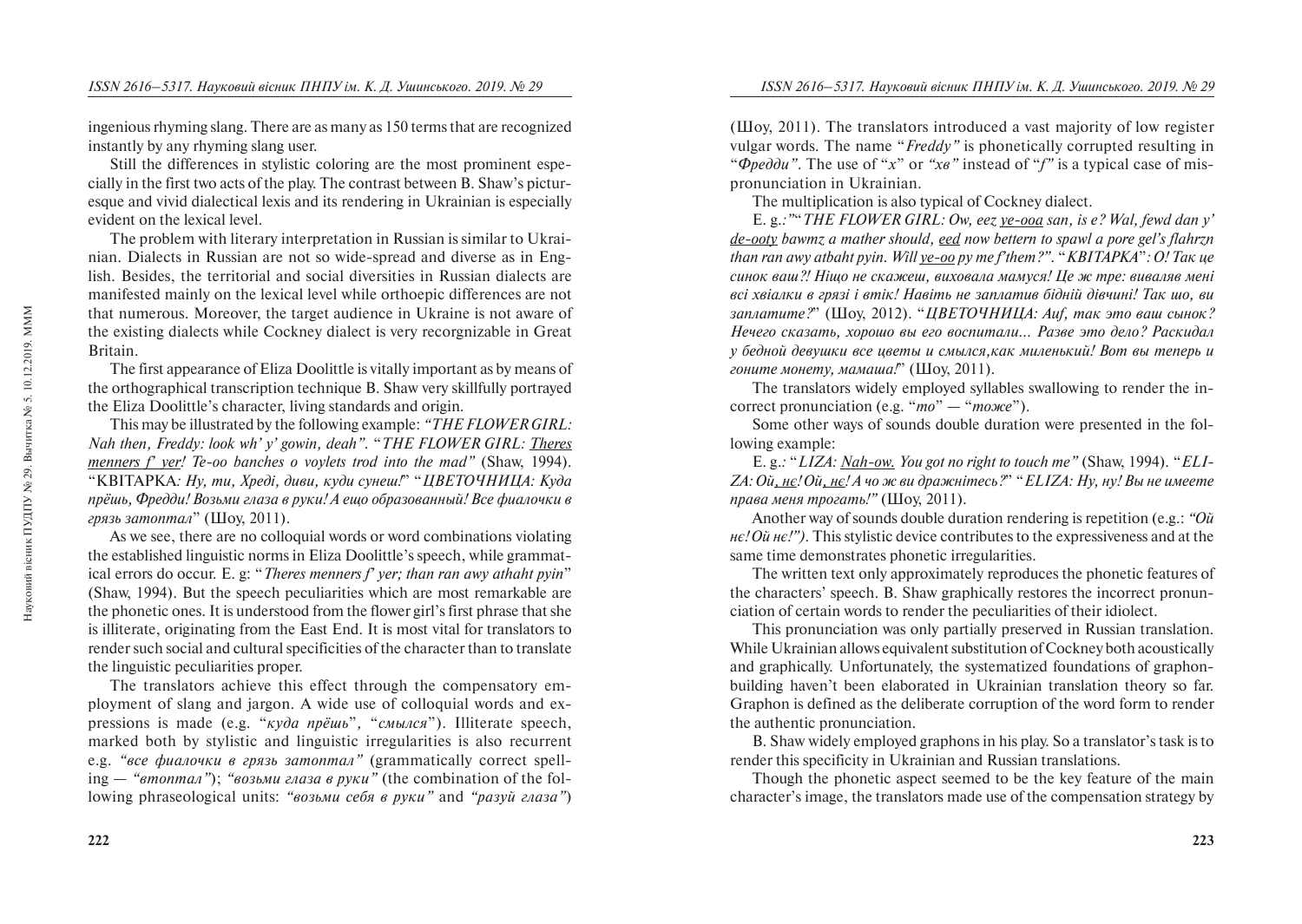ingenious rhyming slang. There are as many as 150 terms that are recognized instantly by any rhyming slang user.

Still the differences in stylistic coloring are the most prominent especially in the first two acts of the play. The contrast between B. Shaw's picturesque and vivid dialectical lexis and its rendering in Ukrainian is especially evident on the lexical level.

The problem with literary interpretation in Russian is similar to Ukrainian. Dialects in Russian are not so wide-spread and diverse as in English. Besides, the territorial and social diversities in Russian dialects are manifested mainly on the lexical level while orthoepic differences are not that numerous. Moreover, the target audience in Ukraine is not aware of the existing dialects while Cockney dialect is very recorgnizable in Great Britain.

The first appearance of Eliza Doolittle is vitally important as by means of the orthographical transcription technique B. Shaw very skillfully portrayed the Eliza Doolittle's character, living standards and origin.

This may be illustrated by the following example: *"THE FLOWER GIRL: Nah then, Freddy: look wh' y' gowin, deah".* "*THE FLOWER GIRL: Theres menners f' ver! Te-oo banches o voylets trod into the mad" (Shaw, 1994).* <sup>"</sup>KBITAPKA: *Ну, mu, Xpeдi, диви, куди сунеш!*" "*ЦВЕТОЧНИЦА: Куда* прёшь, Фредди! Возьми глаза в руки! А ещо образованный! Все фиалочки в *грязь затоптал*" (Шоу, 2011).

As we see, there are no colloquial words or word combinations violating the established linguistic norms in Eliza Doolittle's speech, while grammatical errors do occur. E. g: "*Theres menners f' yer; than ran awy athaht pyin*" (Shaw, 1994). But the speech peculiarities which are most remarkable are the phonetic ones. It is understood from the flower girl's first phrase that she is illiterate, originating from the East End. It is most vital for translators to render such social and cultural specificities of the character than to translate the linguistic peculiarities proper.

The translators achieve this effect through the compensatory employment of slang and jargon. A wide use of colloquial words and expressions is made (e.g. "*kvda npëwb"*, "*cмылся*"). Illiterate speech, marked both by stylistic and linguistic irregularities is also recurrent е.g. *"все фиалочки в грязь затоптал"* (grammatically correct spell $ing - "ømonman"$ ;  $"6036MU$ *aasa*  $\theta$  *pyku*" (the combination of the following phraseological units: *"возьми себя в руки"* and *"разуй глаза"*) ( $\mu$ II). The translators introduced a vast majority of low register vulgar words*.* The name "*Freddy"* is phonetically corrupted resulting in *"Opeddu"*. The use of "*x*" or "*xe"* instead of "*f*" is a typical case of mispronunciation in Ukrainian.

The multiplication is also typical of Cockney dialect.

E. g.*:"*"*THE FLOWER GIRL: Ow, eez ye-ooa san, is e? Wal, fewd dan y' de-ooty bawmz a mather should, eed now bettern to spawl a pore gel's flahrzn than ran awy atbaht pyin. Will ye-oo py me f'them?".* "*KBITAPKA": O! Tak ye* синок ваш?! Ніщо не скажеш, виховала мамуся! Це ж тре: виваляв мені *всі хвіалки в грязі і втік! Навіть не заплатив бідній дівчині! Так шо, ви* заплатите?" (Шоу, 2012). "*ЦВЕТОЧНИЦА: Auf, так это ваш сынок? Íå÷åãî ñêàçàòü, õîðîøî âû åãî âîñïèòàëè… Ðàçâå ýòî äåëî? Ðàñêèäàë ó áåäíîé äåâóøêè âñå öâåòû è ñìûëñÿ,êàê ìèëåíüêèé! Âîò âû òåïåðü è гоните монету, мамаша!" (Шоу, 2011).* 

The translators widely employed syllables swallowing to render the incorrect pronunciation (e.g. "*mo*" — "*moxee*").

Some other ways of sounds double duration were presented in the following example:

E. g.*:* "*LIZA: Nah-ow. You got no right to touch me"* (Shaw, 1994)*.* "*ELI-*ZA: Ой, нє! Ой, нє! А чо ж ви дражнітесь?" "*ELIZA: Ну, ну! Вы не имеете права меня трогать!"* (Шоу, 2011).

Another way of sounds double duration rendering is repetition (e.g.: *"Ou*") *). This stylistic device contributes to the expressiveness and at the* same time demonstrates phonetic irregularities.

The written text only approximately reproduces the phonetic features of the characters' speech. B. Shaw graphically restores the incorrect pronunciation of certain words to render the peculiarities of their idiolect.

This pronunciation was only partially preserved in Russian translation. While Ukrainian allows equivalent substitution of Cockney both acoustically and graphically. Unfortunately, the systematized foundations of graphonbuilding haven't been elaborated in Ukrainian translation theory so far. Graphon is defined as the deliberate corruption of the word form to render the authentic pronunciation.

B. Shaw widely employed graphons in his play. So a translator's task is to render this specificity in Ukrainian and Russian translations.

Though the phonetic aspect seemed to be the key feature of the main character's image, the translators made use of the compensation strategy by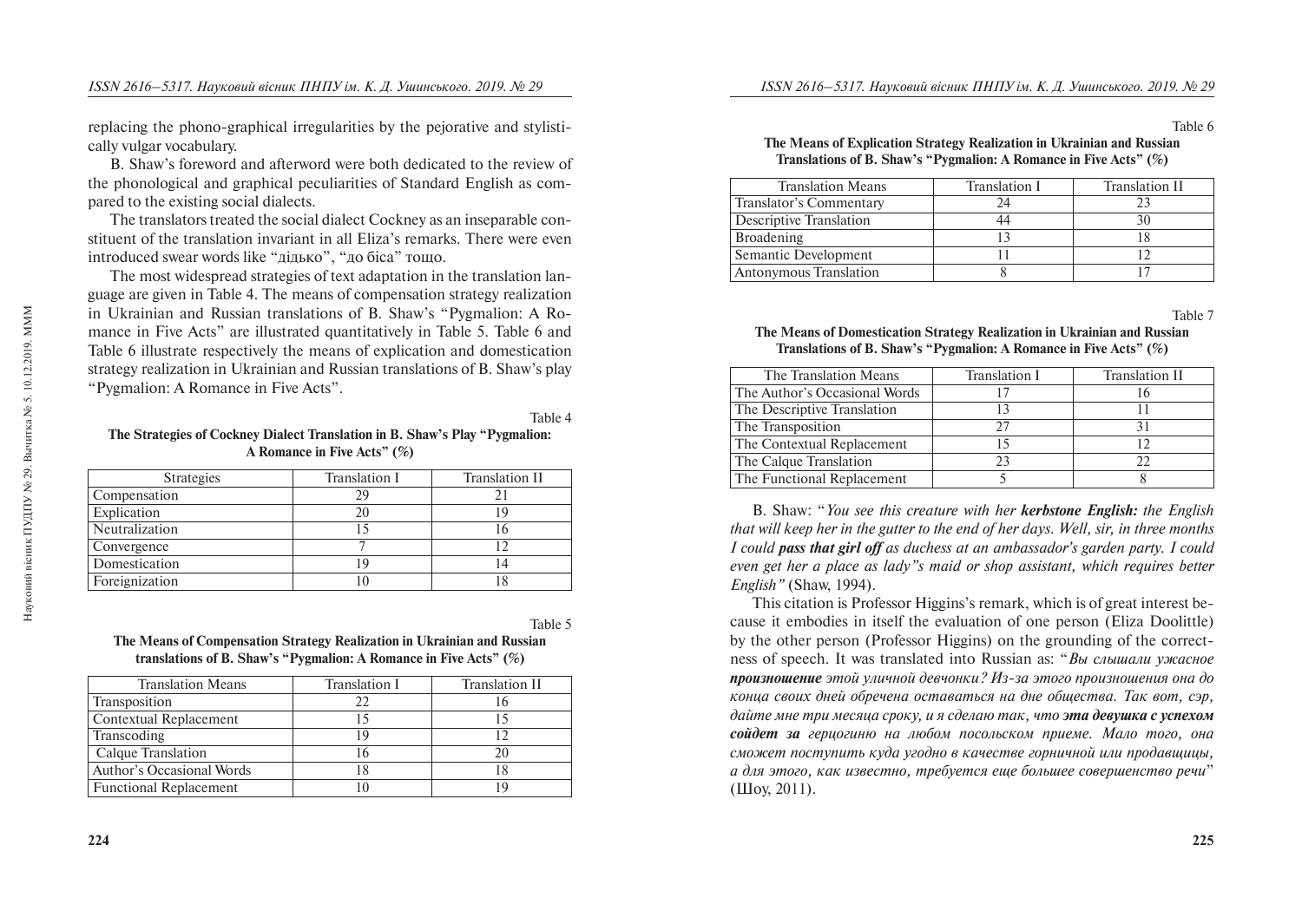replacing the phono-graphical irregularities by the pejorative and stylistically vulgar vocabulary.

B. Shaw's foreword and afterword were both dedicated to the review of the phonological and graphical peculiarities of Standard English as compared to the existing social dialects.

The translators treated the social dialect Cockney as an inseparable constituent of the translation invariant in all Eliza's remarks. There were even introduced swear words like "дідько", "до біса" тощо.

The most widespread strategies of text adaptation in the translation language are given in Table 4. The means of compensation strategy realization in Ukrainian and Russian translations of B. Shaw's "Pygmalion: A Romance in Five Acts" are illustrated quantitatively in Table 5. Table 6 and Table 6 illustrate respectively the means of explication and domestication strategy realization in Ukrainian and Russian translations of B. Shaw's play "Pygmalion: A Romance in Five Acts".

## **The Strategies of Cockney Dialect Translation in B. Shaw's Play "Pygmalion: A Romance in Five Acts" (%)**

| <b>Strategies</b> | Translation I | Translation II |
|-------------------|---------------|----------------|
| Compensation      | 29            |                |
| Explication       | 20            | 19             |
| Neutralization    | 15            |                |
| Convergence       |               |                |
| Domestication     | 19            | 14             |
| Foreignization    | 10            |                |
|                   |               |                |

Table 5

Table 4

| The Means of Compensation Strategy Realization in Ukrainian and Russian |
|-------------------------------------------------------------------------|
| translations of B. Shaw's "Pygmalion: A Romance in Five Acts" $(\%)$    |

| <b>Translation Means</b>      | Translation I | Translation II |
|-------------------------------|---------------|----------------|
| Transposition                 | フフ            |                |
| Contextual Replacement        |               |                |
| Transcoding                   | 19            |                |
| Calque Translation            |               | 20             |
| Author's Occasional Words     |               |                |
| <b>Functional Replacement</b> |               |                |

### Table 6 **The Means of Explication Strategy Realization in Ukrainian and Russian Translations of B. Shaw's "Pygmalion: A Romance in Five Acts" (%)**

| <b>Translation Means</b>      | <b>Translation I</b> | <b>Translation II</b> |
|-------------------------------|----------------------|-----------------------|
| Translator's Commentary       |                      |                       |
| Descriptive Translation       |                      |                       |
| <b>Broadening</b>             |                      |                       |
| Semantic Development          |                      |                       |
| <b>Antonymous Translation</b> |                      |                       |

Table 7

## **The Means of Domestication Strategy Realization in Ukrainian and Russian Translations of B. Shaw's "Pygmalion: A Romance in Five Acts" (%)**

| The Translation Means         | Translation I | <b>Translation II</b> |
|-------------------------------|---------------|-----------------------|
| The Author's Occasional Words |               |                       |
| The Descriptive Translation   | 13            |                       |
| The Transposition             | 27            |                       |
| The Contextual Replacement    |               |                       |
| The Calque Translation        | 23            | 22                    |
| The Functional Replacement    |               |                       |

B. Shaw: "*You see this creature with her kerbstone English: the English that will keep her in the gutter to the end of her days. Well, sir, in three months I could pass that girl off as duchess at an ambassador's garden party. I could even get her a place as lady"s maid or shop assistant, which requires better English"* (Shaw, 1994).

This citation is Professor Higgins's remark, which is of great interest because it embodies in itself the evaluation of one person (Eliza Doolittle) by the other person (Professor Higgins) on the grounding of the correctness of speech. It was translated into Russian as: "*Bы слышали ужасное* **произношение** этой уличной девчонки? Из-за этого произношения она до *êîíöà ñâîèõ äíåé îáðå÷åíà îñòàâàòüñÿ íà äíå îáùåñòâà. Òàê âîò, ñýð,*  дайте мне три месяца сроку, и я сделаю так, что эта девушка с успехом *ñîéäåò çà ãåðöîãèíþ íà ëþáîì ïîñîëüñêîì ïðèåìå. Ìàëî òîãî, îíà ñìîæåò ïîñòóïèòü êóäà óãîäíî â êà÷åñòâå ãîðíè÷íîé èëè ïðîäàâùèöû, à äëÿ ýòîãî, êàê èçâåñòíî, òðåáóåòñÿ åùå áîëüøåå ñîâåðøåíñòâî ðå÷è*"  $(HIov, 2011).$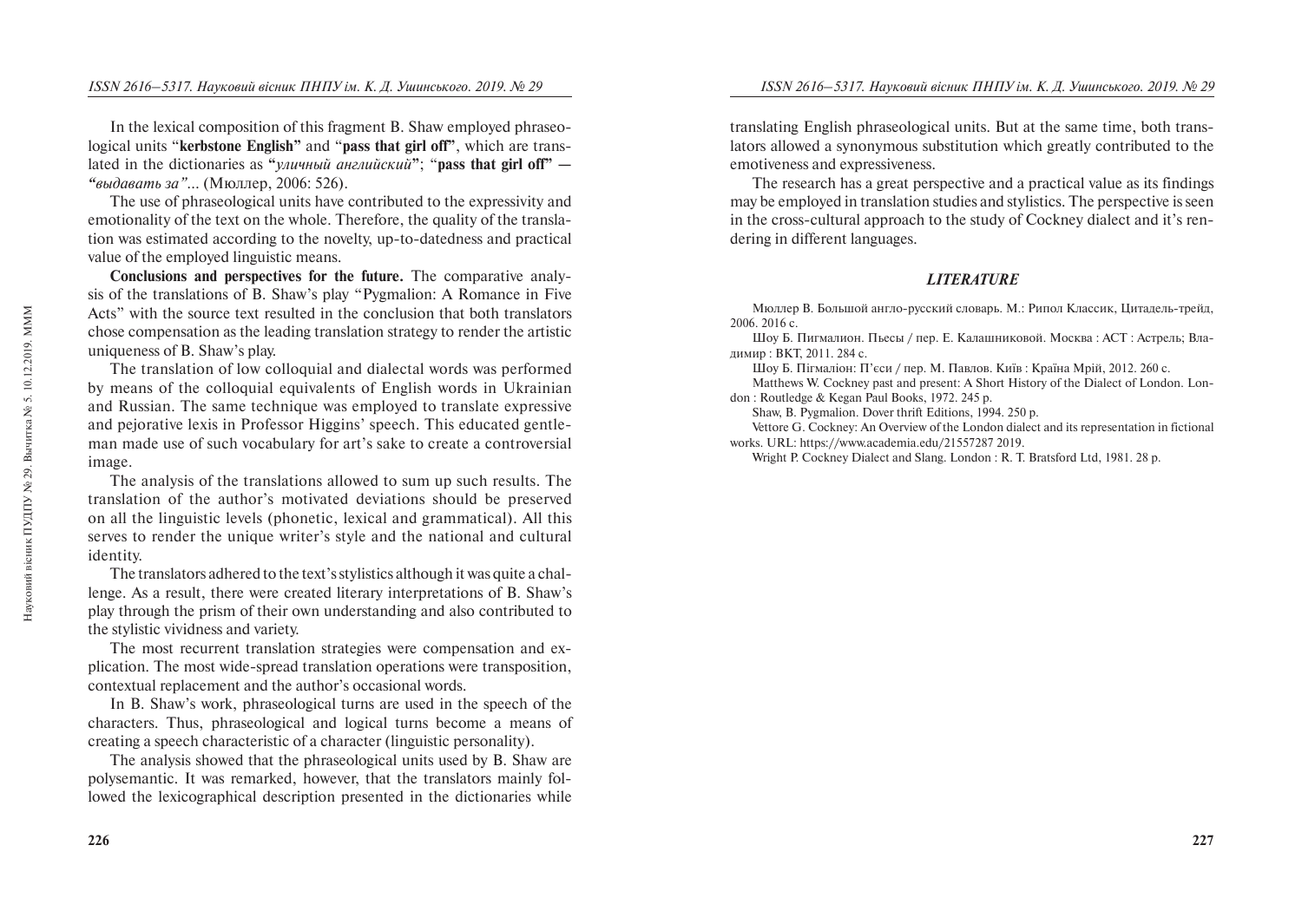In the lexical composition of this fragment B. Shaw employed phraseological units "**kerbstone English"** and "**pass that girl off"**, which are translated in the dictionaries as "*уличный английский*"; "pass that girl off" — *"выдавать за"*… (Мюллер, 2006: 526).

The use of phraseological units have contributed to the expressivity and emotionality of the text on the whole. Therefore, the quality of the translation was estimated according to the novelty, up-to-datedness and practical value of the employed linguistic means.

**Conclusions and perspectives for the future.** The comparative analysis of the translations of B. Shaw's play "Pygmalion: A Romance in Five Acts" with the source text resulted in the conclusion that both translators chose compensation as the leading translation strategy to render the artistic uniqueness of B. Shaw's play.

The translation of low colloquial and dialectal words was performed by means of the colloquial equivalents of English words in Ukrainian and Russian. The same technique was employed to translate expressive and pejorative lexis in Professor Higgins' speech. This educated gentleman made use of such vocabulary for art's sake to create a controversial image.

The analysis of the translations allowed to sum up such results. The translation of the author's motivated deviations should be preserved on all the linguistic levels (phonetic, lexical and grammatical). All this serves to render the unique writer's style and the national and cultural identity.

The translators adhered to the text's stylistics although it was quite a challenge. As a result, there were created literary interpretations of B. Shaw's play through the prism of their own understanding and also contributed to the stylistic vividness and variety.

The most recurrent translation strategies were compensation and explication. The most wide-spread translation operations were transposition, contextual replacement and the author's occasional words.

In B. Shaw's work, phraseological turns are used in the speech of the characters. Thus, phraseological and logical turns become a means of creating a speech characteristic of a character (linguistic personality).

The analysis showed that the phraseological units used by B. Shaw are polysemantic. It was remarked, however, that the translators mainly followed the lexicographical description presented in the dictionaries while

translating English phraseological units. But at the same time, both translators allowed a synonymous substitution which greatly contributed to the emotiveness and expressiveness.

The research has a great perspective and a practical value as its findings may be employed in translation studies and stylistics. The perspective is seen in the cross-cultural approach to the study of Cockney dialect and it's rendering in different languages.

## *LITERATURE*

Мюллер В. Большой англо-русский словарь. М.: Рипол Классик, Цитадель-трейд, 2006. 2016 c.

Шоу Б. Пигмалион. Пьесы / пер. Е. Калашниковой. Москва: АСТ: Астрель; Влалимир: ВКТ, 2011. 284 с.

Шоу Б. Пігмаліон: П'єси / пер. М. Павлов. Київ: Країна Мрій, 2012. 260 с.

Matthews W. Cockney past and present: A Short History of the Dialect of London. London : Routledge & Kegan Paul Books, 1972. 245 p.

Shaw, B. Pygmalion. Dover thrift Editions, 1994. 250 p.

Vettore G. Cockney: An Overview of the London dialect and its representation in fictional works. URL: https://www.academia.edu/21557287 2019.

Wright P. Cockney Dialect and Slang. London : R. T. Bratsford Ltd, 1981. 28 p.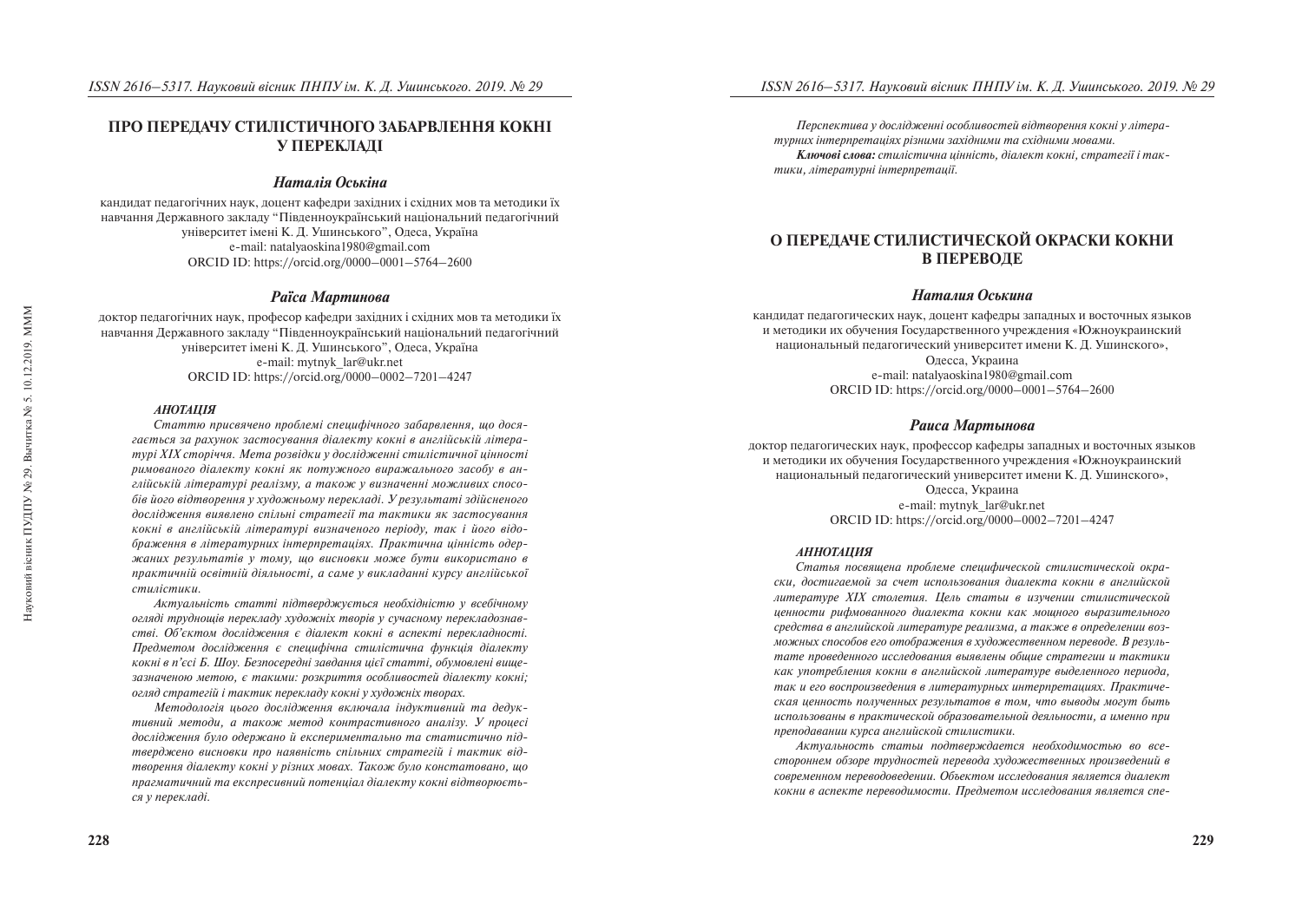## ПРО ПЕРЕДАЧУ СТИЛІСТИЧНОГО ЗАБАРВЛЕННЯ КОКНІ **У ПЕРЕКЛАДІ**

## *Наталія Оськіна*

кандидат педагогічних наук, доцент кафедри західних і східних мов та методики їх навчання Лержавного заклалу "Півленноукраїнський національний пелагогічний університет імені К. Л. Ушинського", Олеса, Україна e-mail: natalyaoskina1980@gmail.com ORCID ID: https://orcid.org/0000–0001–5764–2600

#### **Раїса Мартинова**

доктор педагогічних наук, професор кафедри західних і східних мов та методики їх навчання Державного закладу "Південноукраїнський національний педагогічний університет імені К. Л. Ушинського", Олеса, Україна e-mail: mytnyk\_lar@ukr.net ORCID ID: https://orcid.org/0000–0002–7201–4247

#### *ÀÍÎÒÀÖ²ß*

Статтю присвячено проблемі специфічного забарвлення, що досягається за рахунок застосування діалекту кокні в англійській літера*mvpi XIX сторіччя. Мета розвідки у дослідженні стилістичної иінності* римованого діалекту кокні як потужного виражального засобу в англійській літературі реалізму, а також у визначенні можливих способів його відтворення у художньому перекладі. У результаті здійсненого дослідження виявлено спільні стратегії та тактики як застосування *êîêí³ â àíãë³éñüê³é ë³òåðàòóð³ âèçíà÷åíîãî ïåð³îäó, òàê ³ éîãî â³äî*браження в літературних інтерпретаціях. Практична цінність одер*æàíèõ ðåçóëüòàò³â ó òîìó, ùî âèñíîâêè ìîæå áóòè âèêîðèñòàíî â*  практичній освітній діяльності, а саме у викладанні курсу англійської  $cmu$ *ñ***è** 

*Àêòóàëüí³ñòü ñòàòò³ ï³äòâåðäæóºòüñÿ íåîáõ³äí³ñòþ ó âñåá³÷íîìó îãëÿä³ òðóäíîù³â ïåðåêëàäó õóäîæí³õ òâîð³â ó ñó÷àñíîìó ïåðåêëàäîçíàâ*стві. Об'єктом дослідження є діалект кокні в аспекті перекладності. *Предметом дослідження є специфічна стилістична функція діалекту êîêí³ â ï'ºñ³ Á. Øîó. Áåçïîñåðåäí³ çàâäàííÿ ö³º¿ ñòàòò³, îáóìîâëåí³ âèùå*зазначеною метою, є такими: розкриття особливостей діалекту кокні: *огляд стратегій і тактик перекладу кокні у художніх творах.* 

Методологія цього дослідження включала індуктивний та дедук*muвний методи, а також метод контрастивного аналізу. У процесі* дослідження було одержано й експериментально та статистично підтверджено висновки про наявність спільних стратегій і тактик від*mворення діалекту кокні у різних мовах. Також було констатовано, що* лрагматичний та експресивний потенијал діалекту кокні відтворюється у перекладі.

*Ïåðñïåêòèâà ó äîñë³äæåíí³ îñîáëèâîñòåé â³äòâîðåííÿ êîêí³ ó ë³òåðàmvpних інтерпретаціях різними західними та східними мовами.* 

Ключові слова: стилістична цінність, діалект кокні, стратегії і так*muки, літературні інтерпретації.* 

## **О ПЕРЕДАЧЕ СТИЛИСТИЧЕСКОЙ ОКРАСКИ КОКНИ B TIEPEBOJIE**

#### *Наталия Оськина*

кандидат педагогических наук, доцент кафедры западных и восточных языков и методики их обучения Государственного учреждения «Южноукраинский национальный педагогический университет имени К. Д. Ушинского», Олесса, Украина e-mail: natalyaoskina1980@gmail.com ORCID ID: https://orcid.org/0000–0001–5764–2600

#### **Раиса Мартынова**

доктор педагогических наук, профессор кафедры западных и восточных языков и метолики их обучения Госуларственного учрежления «Южноукраинский национальный пелагогический университет имени К. Л. Ушинского», Одесса, Украина e-mail: mytnyk\_lar@ukr.net ORCID ID: https://orcid.org/0000–0002–7201–4247

#### *АННОТАЦИЯ*

Статья посвящена проблеме специфической стилистической окра*ñêè, äîñòèãàåìîé çà ñ÷åò èñïîëüçîâàíèÿ äèàëåêòà êîêíè â àíãëèéñêîé ëèòåðàòóðå XIX ñòîëåòèÿ. Öåëü ñòàòüè â èçó÷åíèè ñòèëèñòè÷åñêîé öåííîñòè ðèôìîâàííîãî äèàëåêòà êîêíè êàê ìîùíîãî âûðàçèòåëüíîãî ñðåäñòâà â àíãëèéñêîé ëèòåðàòóðå ðåàëèçìà, à òàêæå â îïðåäåëåíèè âîçìîæíûõ ñïîñîáîâ åãî îòîáðàæåíèÿ â õóäîæåñòâåííîì ïåðåâîäå. Â ðåçóëü*тате проведенного исследования выявлены общие стратегии и тактики *êàê óïîòðåáëåíèÿ êîêíè â àíãëèéñêîé ëèòåðàòóðå âûäåëåííîãî ïåðèîäà,*  так и его воспроизведения в литературных интерпретациях. Практическая ценность полученных результатов в том, что выводы могут быть *èñïîëüçîâàíû â ïðàêòè÷åñêîé îáðàçîâàòåëüíîé äåÿëüíîñòè, à èìåííî ïðè*  преподавании курса английской стилистики.

Актуальность статьи подтверждается необходимостью во все*ñòîðîííåì îáçîðå òðóäíîñòåé ïåðåâîäà õóäîæåñòâåííûõ ïðîèçâåäåíèé â ñîâðåìåííîì ïåðåâîäîâåäåíèè. Îáúåêòîì èññëåäîâàíèÿ ÿâëÿåòñÿ äèàëåêò êîêíè â àñïåêòå ïåðåâîäèìîñòè. Ïðåäìåòîì èññëåäîâàíèÿ ÿâëÿåòñÿ ñïå-*